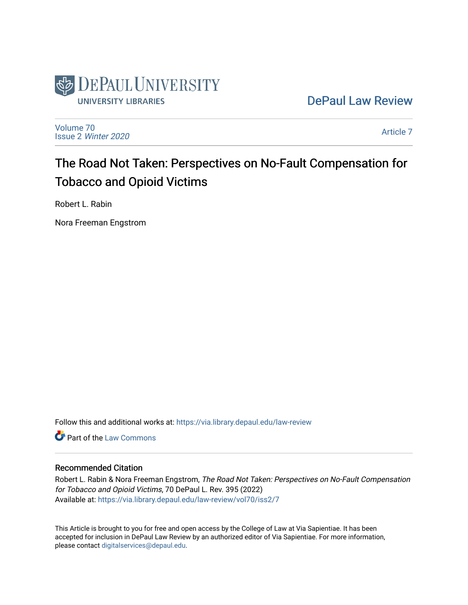

[DePaul Law Review](https://via.library.depaul.edu/law-review) 

[Volume 70](https://via.library.depaul.edu/law-review/vol70) Issue 2 [Winter 2020](https://via.library.depaul.edu/law-review/vol70/iss2) 

[Article 7](https://via.library.depaul.edu/law-review/vol70/iss2/7) 

# The Road Not Taken: Perspectives on No-Fault Compensation for Tobacco and Opioid Victims

Robert L. Rabin

Nora Freeman Engstrom

Follow this and additional works at: [https://via.library.depaul.edu/law-review](https://via.library.depaul.edu/law-review?utm_source=via.library.depaul.edu%2Flaw-review%2Fvol70%2Fiss2%2F7&utm_medium=PDF&utm_campaign=PDFCoverPages) 

Part of the [Law Commons](http://network.bepress.com/hgg/discipline/578?utm_source=via.library.depaul.edu%2Flaw-review%2Fvol70%2Fiss2%2F7&utm_medium=PDF&utm_campaign=PDFCoverPages)

# Recommended Citation

Robert L. Rabin & Nora Freeman Engstrom, The Road Not Taken: Perspectives on No-Fault Compensation for Tobacco and Opioid Victims, 70 DePaul L. Rev. 395 (2022) Available at: [https://via.library.depaul.edu/law-review/vol70/iss2/7](https://via.library.depaul.edu/law-review/vol70/iss2/7?utm_source=via.library.depaul.edu%2Flaw-review%2Fvol70%2Fiss2%2F7&utm_medium=PDF&utm_campaign=PDFCoverPages) 

This Article is brought to you for free and open access by the College of Law at Via Sapientiae. It has been accepted for inclusion in DePaul Law Review by an authorized editor of Via Sapientiae. For more information, please contact [digitalservices@depaul.edu.](mailto:digitalservices@depaul.edu)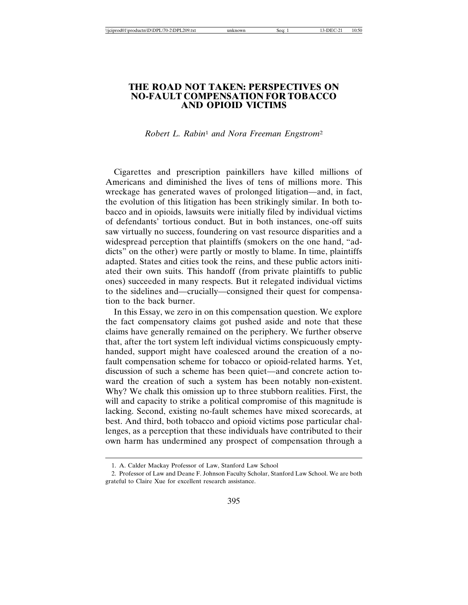## **THE ROAD NOT TAKEN: PERSPECTIVES ON NO-FAULT COMPENSATION FOR TOBACCO AND OPIOID VICTIMS**

### *Robert L. Rabin*1 *and Nora Freeman Engstrom*<sup>2</sup>

Cigarettes and prescription painkillers have killed millions of Americans and diminished the lives of tens of millions more. This wreckage has generated waves of prolonged litigation—and, in fact, the evolution of this litigation has been strikingly similar. In both tobacco and in opioids, lawsuits were initially filed by individual victims of defendants' tortious conduct. But in both instances, one-off suits saw virtually no success, foundering on vast resource disparities and a widespread perception that plaintiffs (smokers on the one hand, "addicts" on the other) were partly or mostly to blame. In time, plaintiffs adapted. States and cities took the reins, and these public actors initiated their own suits. This handoff (from private plaintiffs to public ones) succeeded in many respects. But it relegated individual victims to the sidelines and—crucially—consigned their quest for compensation to the back burner.

In this Essay, we zero in on this compensation question. We explore the fact compensatory claims got pushed aside and note that these claims have generally remained on the periphery. We further observe that, after the tort system left individual victims conspicuously emptyhanded, support might have coalesced around the creation of a nofault compensation scheme for tobacco or opioid-related harms. Yet, discussion of such a scheme has been quiet—and concrete action toward the creation of such a system has been notably non-existent. Why? We chalk this omission up to three stubborn realities. First, the will and capacity to strike a political compromise of this magnitude is lacking. Second, existing no-fault schemes have mixed scorecards, at best. And third, both tobacco and opioid victims pose particular challenges, as a perception that these individuals have contributed to their own harm has undermined any prospect of compensation through a

<sup>1.</sup> A. Calder Mackay Professor of Law, Stanford Law School

<sup>2.</sup> Professor of Law and Deane F. Johnson Faculty Scholar, Stanford Law School. We are both grateful to Claire Xue for excellent research assistance.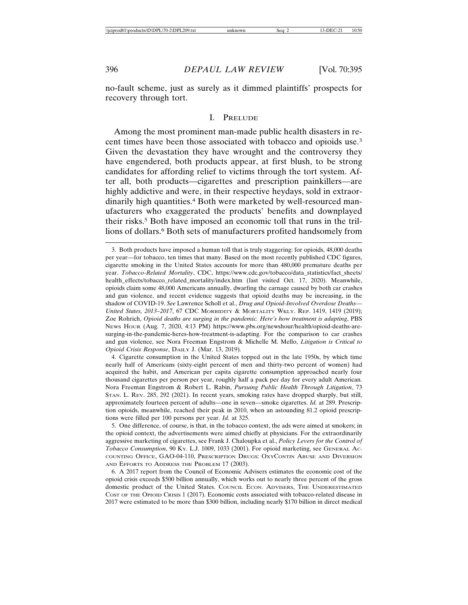no-fault scheme, just as surely as it dimmed plaintiffs' prospects for recovery through tort.

#### I. PRELUDE

Among the most prominent man-made public health disasters in recent times have been those associated with tobacco and opioids use.3 Given the devastation they have wrought and the controversy they have engendered, both products appear, at first blush, to be strong candidates for affording relief to victims through the tort system. After all, both products—cigarettes and prescription painkillers—are highly addictive and were, in their respective heydays, sold in extraordinarily high quantities.4 Both were marketed by well-resourced manufacturers who exaggerated the products' benefits and downplayed their risks.5 Both have imposed an economic toll that runs in the trillions of dollars.6 Both sets of manufacturers profited handsomely from

4. Cigarette consumption in the United States topped out in the late 1950s, by which time nearly half of Americans (sixty-eight percent of men and thirty-two percent of women) had acquired the habit, and American per capita cigarette consumption approached nearly four thousand cigarettes per person per year, roughly half a pack per day for every adult American. Nora Freeman Engstrom & Robert L. Rabin, *Pursuing Public Health Through Litigation*, 73 STAN. L. REV. 285, 292 (2021). In recent years, smoking rates have dropped sharply, but still, approximately fourteen percent of adults—one in seven—smoke cigarettes. *Id.* at 289. Prescription opioids, meanwhile, reached their peak in 2010, when an astounding 81.2 opioid prescriptions were filled per 100 persons per year. *Id.* at 325.

5. One difference, of course, is that, in the tobacco context, the ads were aimed at smokers; in the opioid context, the advertisements were aimed chiefly at physicians. For the extraordinarily aggressive marketing of cigarettes, see Frank J. Chaloupka et al., *Policy Levers for the Control of Tobacco Consumption*, 90 Ky. L.J. 1009, 1033 (2001). For opioid marketing, see GENERAL Ac-COUNTING OFFICE, GAO-04-110, PRESCRIPTION DRUGS: OXYCONTIN ABUSE AND DIVERSION AND EFFORTS TO ADDRESS THE PROBLEM 17 (2003).

6. A 2017 report from the Council of Economic Advisers estimates the economic cost of the opioid crisis exceeds \$500 billion annually, which works out to nearly three percent of the gross domestic product of the United States. COUNCIL ECON. ADVISERS, THE UNDERESTIMATED COST OF THE OPIOID CRISIS 1 (2017). Economic costs associated with tobacco-related disease in 2017 were estimated to be more than \$300 billion, including nearly \$170 billion in direct medical

<sup>3.</sup> Both products have imposed a human toll that is truly staggering: for opioids, 48,000 deaths per year—for tobacco, ten times that many. Based on the most recently published CDC figures, cigarette smoking in the United States accounts for more than 480,000 premature deaths per year. *Tobacco-Related Mortality*, CDC, https://www.cdc.gov/tobacco/data\_statistics/fact\_sheets/ health\_effects/tobacco\_related\_mortality/index.htm (last visited Oct. 17, 2020). Meanwhile, opioids claim some 48,000 Americans annually, dwarfing the carnage caused by both car crashes and gun violence, and recent evidence suggests that opioid deaths may be increasing, in the shadow of COVID-19. *See* Lawrence Scholl et al., *Drug and Opioid-Involved Overdose Deaths— United States, 2013–2017*, 67 CDC MORBIDITY & MORTALITY WKLY. REP. 1419, 1419 (2019); Zoe Rohrich, *Opioid deaths are surging in the pandemic. Here's how treatment is adapting*, PBS NEWS HOUR (Aug. 7, 2020, 4:13 PM) https://www.pbs.org/newshour/health/opioid-deaths-aresurging-in-the-pandemic-heres-how-treatment-is-adapting. For the comparison to car crashes and gun violence, see Nora Freeman Engstrom & Michelle M. Mello, *Litigation is Critical to Opioid Crisis Response*, DAILY J. (Mar. 13, 2019).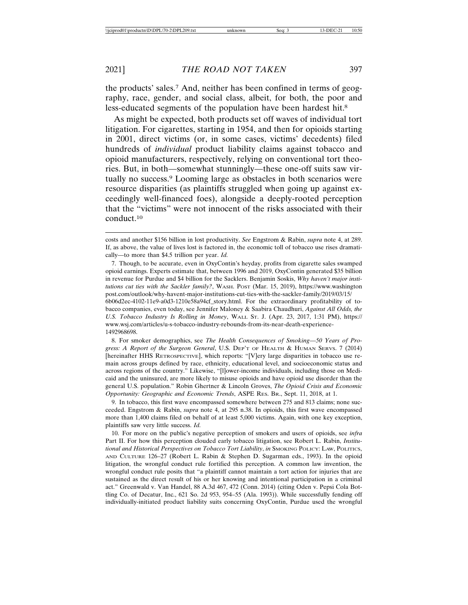the products' sales.7 And, neither has been confined in terms of geography, race, gender, and social class, albeit, for both, the poor and less-educated segments of the population have been hardest hit.8

As might be expected, both products set off waves of individual tort litigation. For cigarettes, starting in 1954, and then for opioids starting in 2001, direct victims (or, in some cases, victims' decedents) filed hundreds of *individual* product liability claims against tobacco and opioid manufacturers, respectively, relying on conventional tort theories. But, in both—somewhat stunningly—these one-off suits saw virtually no success.9 Looming large as obstacles in both scenarios were resource disparities (as plaintiffs struggled when going up against exceedingly well-financed foes), alongside a deeply-rooted perception that the "victims" were not innocent of the risks associated with their conduct.10

7. Though, to be accurate, even in OxyContin's heyday, profits from cigarette sales swamped opioid earnings. Experts estimate that, between 1996 and 2019, OxyContin generated \$35 billion in revenue for Purdue and \$4 billion for the Sacklers. Benjamin Soskis, *Why haven't major institutions cut ties with the Sackler family?*, WASH. POST (Mar. 15, 2019), https://www.washington post.com/outlook/why-havent-major-institutions-cut-ties-with-the-sackler-family/2019/03/15/ 6b06d2ec-4102-11e9-a0d3-1210e58a94cf\_story.html. For the extraordinary profitability of tobacco companies, even today, see Jennifer Maloney & Saabira Chaudhuri, *Against All Odds, the U.S. Tobacco Industry Is Rolling in Money*, WALL ST. J. (Apr. 23, 2017, 1:31 PM), https:// www.wsj.com/articles/u-s-tobacco-industry-rebounds-from-its-near-death-experience-1492968698.

8. For smoker demographics, see *The Health Consequences of Smoking—50 Years of Progress: A Report of the Surgeon General*, U.S. DEP'T OF HEALTH & HUMAN SERVS. 7 (2014) [hereinafter HHS RETROSPECTIVE], which reports: "[V]ery large disparities in tobacco use remain across groups defined by race, ethnicity, educational level, and socioeconomic status and across regions of the country." Likewise, "[l]ower-income individuals, including those on Medicaid and the uninsured, are more likely to misuse opioids and have opioid use disorder than the general U.S. population." Robin Ghertner & Lincoln Groves, *The Opioid Crisis and Economic Opportunity: Geographic and Economic Trends*, ASPE RES. BR., Sept. 11, 2018, at 1.

9. In tobacco, this first wave encompassed somewhere between 275 and 813 claims; none succeeded. Engstrom & Rabin, *supra* note 4, at 295 n.38. In opioids, this first wave encompassed more than 1,400 claims filed on behalf of at least 5,000 victims. Again, with one key exception, plaintiffs saw very little success. *Id.*

10. For more on the public's negative perception of smokers and users of opioids, see *infra* Part II. For how this perception clouded early tobacco litigation, see Robert L. Rabin, *Institutional and Historical Perspectives on Tobacco Tort Liability*, *in* SMOKING POLICY: LAW, POLITICS, AND CULTURE 126–27 (Robert L. Rabin & Stephen D. Sugarman eds., 1993). In the opioid litigation, the wrongful conduct rule fortified this perception. A common law invention, the wrongful conduct rule posits that "a plaintiff cannot maintain a tort action for injuries that are sustained as the direct result of his or her knowing and intentional participation in a criminal act." Greenwald v. Van Handel, 88 A.3d 467, 472 (Conn. 2014) (citing Oden v. Pepsi Cola Bottling Co. of Decatur, Inc., 621 So. 2d 953, 954–55 (Ala. 1993)). While successfully fending off individually-initiated product liability suits concerning OxyContin, Purdue used the wrongful

costs and another \$156 billion in lost productivity. *See* Engstrom & Rabin, *supra* note 4, at 289. If, as above, the value of lives lost is factored in, the economic toll of tobacco use rises dramatically—to more than \$4.5 trillion per year. *Id.*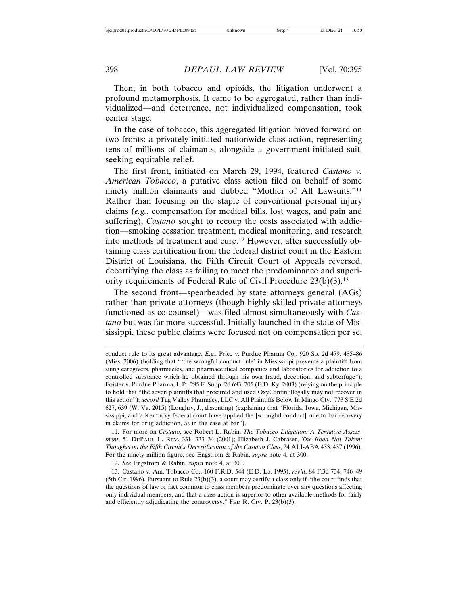Then, in both tobacco and opioids, the litigation underwent a profound metamorphosis. It came to be aggregated, rather than individualized—and deterrence, not individualized compensation, took center stage.

In the case of tobacco, this aggregated litigation moved forward on two fronts: a privately initiated nationwide class action, representing tens of millions of claimants, alongside a government-initiated suit, seeking equitable relief.

The first front, initiated on March 29, 1994, featured *Castano v. American Tobacco*, a putative class action filed on behalf of some ninety million claimants and dubbed "Mother of All Lawsuits."11 Rather than focusing on the staple of conventional personal injury claims (*e.g.*, compensation for medical bills, lost wages, and pain and suffering), *Castano* sought to recoup the costs associated with addiction—smoking cessation treatment, medical monitoring, and research into methods of treatment and cure.12 However, after successfully obtaining class certification from the federal district court in the Eastern District of Louisiana, the Fifth Circuit Court of Appeals reversed, decertifying the class as failing to meet the predominance and superiority requirements of Federal Rule of Civil Procedure 23(b)(3).13

The second front—spearheaded by state attorneys general (AGs) rather than private attorneys (though highly-skilled private attorneys functioned as co-counsel)—was filed almost simultaneously with *Castano* but was far more successful. Initially launched in the state of Mississippi, these public claims were focused not on compensation per se,

12. *See* Engstrom & Rabin, *supra* note 4, at 300.

13. Castano v. Am. Tobacco Co., 160 F.R.D. 544 (E.D. La. 1995), *rev'd*, 84 F.3d 734, 746–49 (5th Cir. 1996). Pursuant to Rule 23(b)(3), a court may certify a class only if "the court finds that the questions of law or fact common to class members predominate over any questions affecting only individual members, and that a class action is superior to other available methods for fairly and efficiently adjudicating the controversy." FED R. CIv. P. 23(b)(3).

conduct rule to its great advantage. *E.g.*, Price v. Purdue Pharma Co., 920 So. 2d 479, 485–86 (Miss. 2006) (holding that "'the wrongful conduct rule' in Mississippi prevents a plaintiff from suing caregivers, pharmacies, and pharmaceutical companies and laboratories for addiction to a controlled substance which he obtained through his own fraud, deception, and subterfuge"); Foister v. Purdue Pharma, L.P., 295 F. Supp. 2d 693, 705 (E.D. Ky. 2003) (relying on the principle to hold that "the seven plaintiffs that procured and used OxyContin illegally may not recover in this action"); *accord* Tug Valley Pharmacy, LLC v. All Plaintiffs Below In Mingo Cty., 773 S.E.2d 627, 639 (W. Va. 2015) (Loughry, J., dissenting) (explaining that "Florida, Iowa, Michigan, Mississippi, and a Kentucky federal court have applied the [wrongful conduct] rule to bar recovery in claims for drug addiction, as in the case at bar").

<sup>11.</sup> For more on *Castano*, see Robert L. Rabin, *The Tobacco Litigation: A Tentative Assessment*, 51 DEPAUL L. REV. 331, 333–34 (2001); Elizabeth J. Cabraser, *The Road Not Taken: Thoughts on the Fifth Circuit's Decertification of the Castano Class*, 24 ALI-ABA 433, 437 (1996). For the ninety million figure, see Engstrom & Rabin, *supra* note 4, at 300.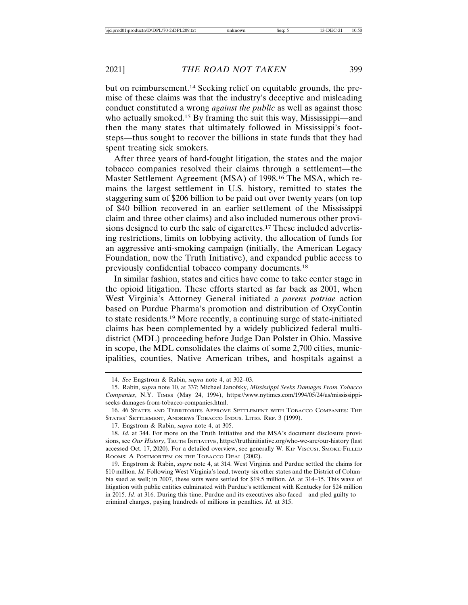but on reimbursement.14 Seeking relief on equitable grounds, the premise of these claims was that the industry's deceptive and misleading conduct constituted a wrong *against the public* as well as against those who actually smoked.<sup>15</sup> By framing the suit this way, Mississippi—and then the many states that ultimately followed in Mississippi's footsteps—thus sought to recover the billions in state funds that they had spent treating sick smokers.

After three years of hard-fought litigation, the states and the major tobacco companies resolved their claims through a settlement—the Master Settlement Agreement (MSA) of 1998.16 The MSA, which remains the largest settlement in U.S. history, remitted to states the staggering sum of \$206 billion to be paid out over twenty years (on top of \$40 billion recovered in an earlier settlement of the Mississippi claim and three other claims) and also included numerous other provisions designed to curb the sale of cigarettes.17 These included advertising restrictions, limits on lobbying activity, the allocation of funds for an aggressive anti-smoking campaign (initially, the American Legacy Foundation, now the Truth Initiative), and expanded public access to previously confidential tobacco company documents.18

In similar fashion, states and cities have come to take center stage in the opioid litigation. These efforts started as far back as 2001, when West Virginia's Attorney General initiated a *parens patriae* action based on Purdue Pharma's promotion and distribution of OxyContin to state residents.19 More recently, a continuing surge of state-initiated claims has been complemented by a widely publicized federal multidistrict (MDL) proceeding before Judge Dan Polster in Ohio. Massive in scope, the MDL consolidates the claims of some 2,700 cities, municipalities, counties, Native American tribes, and hospitals against a

<sup>14.</sup> *See* Engstrom & Rabin, *supra* note 4, at 302–03.

<sup>15.</sup> Rabin, *supra* note 10, at 337; Michael Janofsky, *Mississippi Seeks Damages From Tobacco Companies*, N.Y. TIMES (May 24, 1994), https://www.nytimes.com/1994/05/24/us/mississippiseeks-damages-from-tobacco-companies.html.

<sup>16. 46</sup> STATES AND TERRITORIES APPROVE SETTLEMENT WITH TOBACCO COMPANIES: THE STATES' SETTLEMENT, ANDREWS TOBACCO INDUS. LITIG. REP. 3 (1999).

<sup>17.</sup> Engstrom & Rabin, *supra* note 4, at 305.

<sup>18.</sup> *Id.* at 344. For more on the Truth Initiative and the MSA's document disclosure provisions, see *Our History*, TRUTH INITIATIVE, https://truthinitiative.org/who-we-are/our-history (last accessed Oct. 17, 2020). For a detailed overview, see generally W. KIP VISCUSI, SMOKE-FILLED ROOMS: A POSTMORTEM ON THE TOBACCO DEAL (2002).

<sup>19.</sup> Engstrom & Rabin, *supra* note 4, at 314. West Virginia and Purdue settled the claims for \$10 million. *Id.* Following West Virginia's lead, twenty-six other states and the District of Columbia sued as well; in 2007, these suits were settled for \$19.5 million. *Id.* at 314–15. This wave of litigation with public entities culminated with Purdue's settlement with Kentucky for \$24 million in 2015. *Id.* at 316. During this time, Purdue and its executives also faced—and pled guilty to criminal charges, paying hundreds of millions in penalties. *Id.* at 315.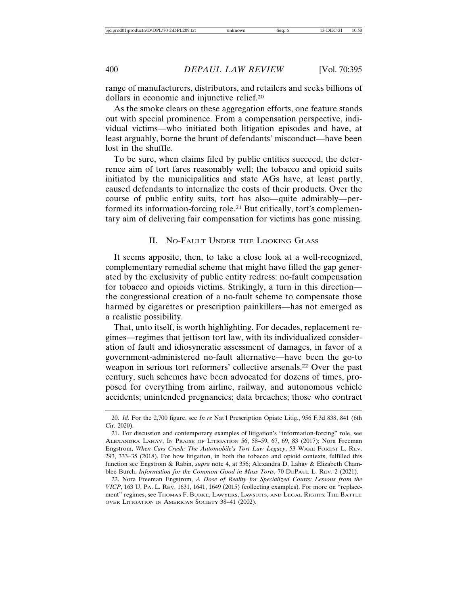range of manufacturers, distributors, and retailers and seeks billions of dollars in economic and injunctive relief.20

As the smoke clears on these aggregation efforts, one feature stands out with special prominence. From a compensation perspective, individual victims—who initiated both litigation episodes and have, at least arguably, borne the brunt of defendants' misconduct—have been lost in the shuffle.

To be sure, when claims filed by public entities succeed, the deterrence aim of tort fares reasonably well; the tobacco and opioid suits initiated by the municipalities and state AGs have, at least partly, caused defendants to internalize the costs of their products. Over the course of public entity suits, tort has also—quite admirably—performed its information-forcing role.21 But critically, tort's complementary aim of delivering fair compensation for victims has gone missing.

#### II. NO-FAULT UNDER THE LOOKING GLASS

It seems apposite, then, to take a close look at a well-recognized, complementary remedial scheme that might have filled the gap generated by the exclusivity of public entity redress: no-fault compensation for tobacco and opioids victims. Strikingly, a turn in this direction the congressional creation of a no-fault scheme to compensate those harmed by cigarettes or prescription painkillers—has not emerged as a realistic possibility.

That, unto itself, is worth highlighting. For decades, replacement regimes—regimes that jettison tort law, with its individualized consideration of fault and idiosyncratic assessment of damages, in favor of a government-administered no-fault alternative—have been the go-to weapon in serious tort reformers' collective arsenals.22 Over the past century, such schemes have been advocated for dozens of times, proposed for everything from airline, railway, and autonomous vehicle accidents; unintended pregnancies; data breaches; those who contract

<sup>20.</sup> *Id.* For the 2,700 figure, see *In re* Nat'l Prescription Opiate Litig., 956 F.3d 838, 841 (6th Cir. 2020).

<sup>21.</sup> For discussion and contemporary examples of litigation's "information-forcing" role, see ALEXANDRA LAHAV, IN PRAISE OF LITIGATION 56, 58–59, 67, 69, 83 (2017); Nora Freeman Engstrom, *When Cars Crash: The Automobile's Tort Law Legacy*, 53 WAKE FOREST L. REV. 293, 333–35 (2018). For how litigation, in both the tobacco and opioid contexts, fulfilled this function see Engstrom & Rabin, *supra* note 4, at 356; Alexandra D. Lahav & Elizabeth Chamblee Burch, *Information for the Common Good in Mass Torts*, 70 DEPAUL L. REV. 2 (2021).

<sup>22.</sup> Nora Freeman Engstrom, *A Dose of Reality for Specialized Courts: Lessons from the VICP*, 163 U. PA. L. REV. 1631, 1641, 1649 (2015) (collecting examples). For more on "replacement" regimes, see THOMAS F. BURKE, LAWYERS, LAWSUITS, AND LEGAL RIGHTS: THE BATTLE OVER LITIGATION IN AMERICAN SOCIETY 38–41 (2002).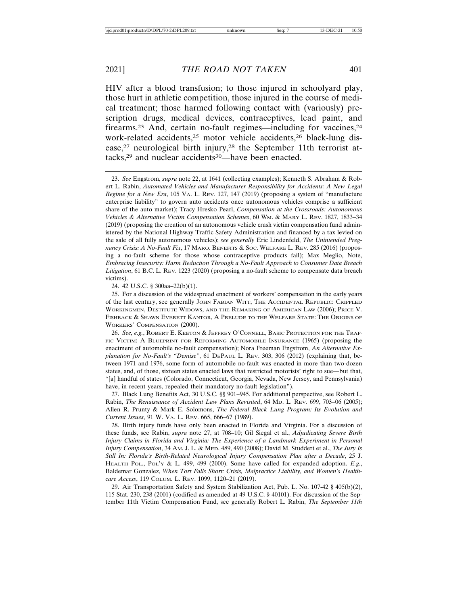HIV after a blood transfusion; to those injured in schoolyard play, those hurt in athletic competition, those injured in the course of medical treatment; those harmed following contact with (variously) prescription drugs, medical devices, contraceptives, lead paint, and firearms.<sup>23</sup> And, certain no-fault regimes—including for vaccines,<sup>24</sup> work-related accidents,<sup>25</sup> motor vehicle accidents,<sup>26</sup> black-lung disease,<sup>27</sup> neurological birth injury,<sup>28</sup> the September 11th terrorist attacks,<sup>29</sup> and nuclear accidents<sup>30</sup>—have been enacted.

23. *See* Engstrom, *supra* note 22, at 1641 (collecting examples); Kenneth S. Abraham & Robert L. Rabin, *Automated Vehicles and Manufacturer Responsibility for Accidents: A New Legal Regime for a New Era*, 105 VA. L. REV. 127, 147 (2019) (proposing a system of "manufacture enterprise liability" to govern auto accidents once autonomous vehicles comprise a sufficient share of the auto market); Tracy Hresko Pearl, *Compensation at the Crossroads: Autonomous Vehicles & Alternative Victim Compensation Schemes*, 60 WM. & MARY L. REV. 1827, 1833–34 (2019) (proposing the creation of an autonomous vehicle crash victim compensation fund administered by the National Highway Traffic Safety Administration and financed by a tax levied on the sale of all fully autonomous vehicles); *see generally* Eric Lindenfeld, *The Unintended Pregnancy Crisis: A No-Fault Fix*, 17 MARQ. BENEFITS & SOC. WELFARE L. REV. 285 (2016) (proposing a no-fault scheme for those whose contraceptive products fail); Max Meglio, Note, *Embracing Insecurity: Harm Reduction Through a No-Fault Approach to Consumer Data Breach* Litigation, 61 B.C. L. REV. 1223 (2020) (proposing a no-fault scheme to compensate data breach victims).

24. 42 U.S.C. § 300aa–22(b)(1).

25. For a discussion of the widespread enactment of workers' compensation in the early years of the last century, see generally JOHN FABIAN WITT, THE ACCIDENTAL REPUBLIC: CRIPPLED WORKINGMEN, DESTITUTE WIDOWS, AND THE REMAKING OF AMERICAN LAW (2006); PRICE V. FISHBACK & SHAWN EVERETT KANTOR, A PRELUDE TO THE WELFARE STATE: THE ORIGINS OF WORKERS' COMPENSATION (2000).

26. *See, e.g.*, ROBERT E. KEETON & JEFFREY O'CONNELL, BASIC PROTECTION FOR THE TRAF-FIC VICTIM: A BLUEPRINT FOR REFORMING AUTOMOBILE INSURANCE (1965) (proposing the enactment of automobile no-fault compensation); Nora Freeman Engstrom, *An Alternative Explanation for No-Fault's "Demise"*, 61 DEPAUL L. REV. 303, 306 (2012) (explaining that, between 1971 and 1976, some form of automobile no-fault was enacted in more than two-dozen states, and, of those, sixteen states enacted laws that restricted motorists' right to sue—but that, "[a] handful of states (Colorado, Connecticut, Georgia, Nevada, New Jersey, and Pennsylvania) have, in recent years, repealed their mandatory no-fault legislation").

27. Black Lung Benefits Act, 30 U.S.C. §§ 901–945. For additional perspective, see Robert L. Rabin, *The Renaissance of Accident Law Plans Revisited*, 64 MD. L. REV. 699, 703–06 (2005); Allen R. Prunty & Mark E. Solomons, *The Federal Black Lung Program: Its Evolution and Current Issues*, 91 W. VA. L. REV. 665, 666–67 (1989).

28. Birth injury funds have only been enacted in Florida and Virginia. For a discussion of these funds, see Rabin, *supra* note 27, at 708–10; Gil Siegal et al., *Adjudicating Severe Birth Injury Claims in Florida and Virginia: The Experience of a Landmark Experiment in Personal Injury Compensation*, 34 AM. J. L. & MED. 489, 490 (2008); David M. Studdert et al., *The Jury Is Still In: Florida's Birth-Related Neurological Injury Compensation Plan after a Decade*, 25 J. HEALTH POL., POL'Y & L. 499, 499 (2000). Some have called for expanded adoption. *E.g.*, Baldemar Gonzalez, *When Tort Falls Short: Crisis, Malpractice Liability, and Women's Healthcare Access*, 119 COLUM. L. REV. 1099, 1120–21 (2019).

29. Air Transportation Safety and System Stabilization Act, Pub. L. No. 107-42 § 405(b)(2), 115 Stat. 230, 238 (2001) (codified as amended at 49 U.S.C. § 40101). For discussion of the September 11th Victim Compensation Fund, see generally Robert L. Rabin, *The September 11th*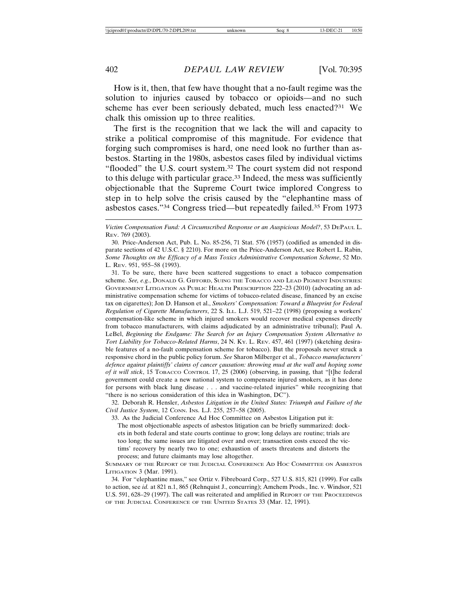How is it, then, that few have thought that a no-fault regime was the solution to injuries caused by tobacco or opioids—and no such scheme has ever been seriously debated, much less enacted?31 We chalk this omission up to three realities.

The first is the recognition that we lack the will and capacity to strike a political compromise of this magnitude. For evidence that forging such compromises is hard, one need look no further than asbestos. Starting in the 1980s, asbestos cases filed by individual victims "flooded" the U.S. court system.32 The court system did not respond to this deluge with particular grace.33 Indeed, the mess was sufficiently objectionable that the Supreme Court twice implored Congress to step in to help solve the crisis caused by the "elephantine mass of asbestos cases."34 Congress tried—but repeatedly failed.35 From 1973

*Victim Compensation Fund: A Circumscribed Response or an Auspicious Model?*, 53 DEPAUL L. REV. 769 (2003).

30. Price-Anderson Act, Pub. L. No. 85-256, 71 Stat. 576 (1957) (codified as amended in disparate sections of 42 U.S.C. § 2210). For more on the Price-Anderson Act, see Robert L. Rabin, *Some Thoughts on the Efficacy of a Mass Toxics Administrative Compensation Scheme*, 52 MD. L. REV. 951, 955–58 (1993).

31. To be sure, there have been scattered suggestions to enact a tobacco compensation scheme. *See, e.g.*, DONALD G. GIFFORD, SUING THE TOBACCO AND LEAD PIGMENT INDUSTRIES: GOVERNMENT LITIGATION AS PUBLIC HEALTH PRESCRIPTION 222–23 (2010) (advocating an administrative compensation scheme for victims of tobacco-related disease, financed by an excise tax on cigarettes); Jon D. Hanson et al., *Smokers' Compensation: Toward a Blueprint for Federal Regulation of Cigarette Manufacturers*, 22 S. ILL. L.J. 519, 521–22 (1998) (proposing a workers' compensation-like scheme in which injured smokers would recover medical expenses directly from tobacco manufacturers, with claims adjudicated by an administrative tribunal); Paul A. LeBel, *Beginning the Endgame: The Search for an Injury Compensation System Alternative to Tort Liability for Tobacco-Related Harms*, 24 N. KY. L. REV. 457, 461 (1997) (sketching desirable features of a no-fault compensation scheme for tobacco). But the proposals never struck a responsive chord in the public policy forum. *See* Sharon Milberger et al., *Tobacco manufacturers'* defence against plaintiffs' claims of cancer çausation: throwing mud at the wall and hoping some *of it will stick*, 15 TOBACCO CONTROL 17, 25 (2006) (observing, in passing, that "[t]he federal government could create a new national system to compensate injured smokers, as it has done for persons with black lung disease . . . and vaccine-related injuries" while recognizing that "there is no serious consideration of this idea in Washington, DC").

32. Deborah R. Hensler, *Asbestos Litigation in the United States: Triumph and Failure of the Civil Justice System*, 12 CONN. INS. L.J. 255, 257–58 (2005).

33. As the Judicial Conference Ad Hoc Committee on Asbestos Litigation put it:

The most objectionable aspects of asbestos litigation can be briefly summarized: dockets in both federal and state courts continue to grow; long delays are routine; trials are too long; the same issues are litigated over and over; transaction costs exceed the victims' recovery by nearly two to one; exhaustion of assets threatens and distorts the process; and future claimants may lose altogether.

SUMMARY OF THE REPORT OF THE JUDICIAL CONFERENCE AD HOC COMMITTEE ON ASBESTOS LITIGATION 3 (Mar. 1991).

34. For "elephantine mass," see Ortiz v. Fibreboard Corp., 527 U.S. 815, 821 (1999). For calls to action, see *id.* at 821 n.1, 865 (Rehnquist J., concurring); Amchem Prods., Inc. v. Windsor, 521 U.S. 591, 628–29 (1997). The call was reiterated and amplified in REPORT OF THE PROCEEDINGS OF THE JUDICIAL CONFERENCE OF THE UNITED STATES 33 (Mar. 12, 1991).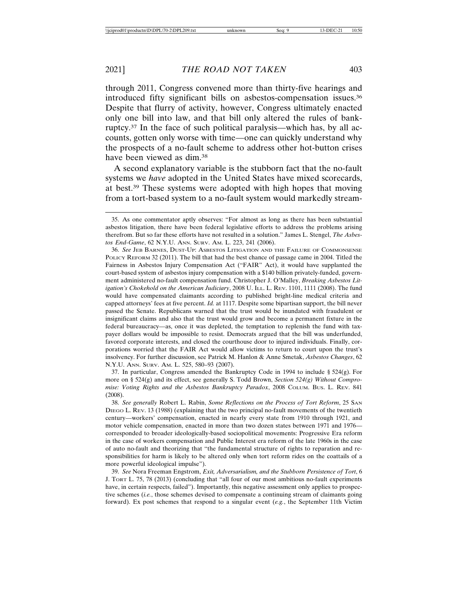through 2011, Congress convened more than thirty-five hearings and introduced fifty significant bills on asbestos-compensation issues.36 Despite that flurry of activity, however, Congress ultimately enacted only one bill into law, and that bill only altered the rules of bankruptcy.37 In the face of such political paralysis—which has, by all accounts, gotten only worse with time—one can quickly understand why the prospects of a no-fault scheme to address other hot-button crises have been viewed as dim.<sup>38</sup>

A second explanatory variable is the stubborn fact that the no-fault systems we *have* adopted in the United States have mixed scorecards, at best.39 These systems were adopted with high hopes that moving from a tort-based system to a no-fault system would markedly stream-

37. In particular, Congress amended the Bankruptcy Code in 1994 to include § 524(g). For more on § 524(g) and its effect, see generally S. Todd Brown, *Section 524(g) Without Compromise: Voting Rights and the Asbestos Bankruptcy Paradox*, 2008 COLUM. BUS. L. REV. 841 (2008).

38. *See generally* Robert L. Rabin, *Some Reflections on the Process of Tort Reform*, 25 SAN DIEGO L. REV. 13 (1988) (explaining that the two principal no-fault movements of the twentieth century—workers' compensation, enacted in nearly every state from 1910 through 1921, and motor vehicle compensation, enacted in more than two dozen states between 1971 and 1976 corresponded to broader ideologically-based sociopolitical movements: Progressive Era reform in the case of workers compensation and Public Interest era reform of the late 1960s in the case of auto no-fault and theorizing that "the fundamental structure of rights to reparation and responsibilities for harm is likely to be altered only when tort reform rides on the coattails of a more powerful ideological impulse").

39. *See* Nora Freeman Engstrom, *Exit, Adversarialism, and the Stubborn Persistence of Tort*, 6 J. TORT L. 75, 78 (2013) (concluding that "all four of our most ambitious no-fault experiments have, in certain respects, failed"). Importantly, this negative assessment only applies to prospective schemes (*i.e.*, those schemes devised to compensate a continuing stream of claimants going forward). Ex post schemes that respond to a singular event (*e.g.*, the September 11th Victim

<sup>35.</sup> As one commentator aptly observes: "For almost as long as there has been substantial asbestos litigation, there have been federal legislative efforts to address the problems arising therefrom. But so far these efforts have not resulted in a solution." James L. Stengel, *The Asbestos End-Game*, 62 N.Y.U. ANN. SURV. AM. L. 223, 241 (2006).

<sup>36.</sup> *See* JEB BARNES, DUST-UP: ASBESTOS LITIGATION AND THE FAILURE OF COMMONSENSE POLICY REFORM 32 (2011). The bill that had the best chance of passage came in 2004. Titled the Fairness in Asbestos Injury Compensation Act ("FAIR" Act), it would have supplanted the court-based system of asbestos injury compensation with a \$140 billion privately-funded, government administered no-fault compensation fund. Christopher J. O'Malley, *Breaking Asbestos Litigation's Chokehold on the American Judiciary*, 2008 U. I<sub>LL</sub>. L. REV. 1101, 1111 (2008). The fund would have compensated claimants according to published bright-line medical criteria and capped attorneys' fees at five percent. *Id.* at 1117. Despite some bipartisan support, the bill never passed the Senate. Republicans warned that the trust would be inundated with fraudulent or insignificant claims and also that the trust would grow and become a permanent fixture in the federal bureaucracy—as, once it was depleted, the temptation to replenish the fund with taxpayer dollars would be impossible to resist. Democrats argued that the bill was underfunded, favored corporate interests, and closed the courthouse door to injured individuals. Finally, corporations worried that the FAIR Act would allow victims to return to court upon the trust's insolvency. For further discussion, see Patrick M. Hanlon & Anne Smetak, *Asbestos Changes*, 62 N.Y.U. ANN. SURV. AM. L. 525, 580–93 (2007).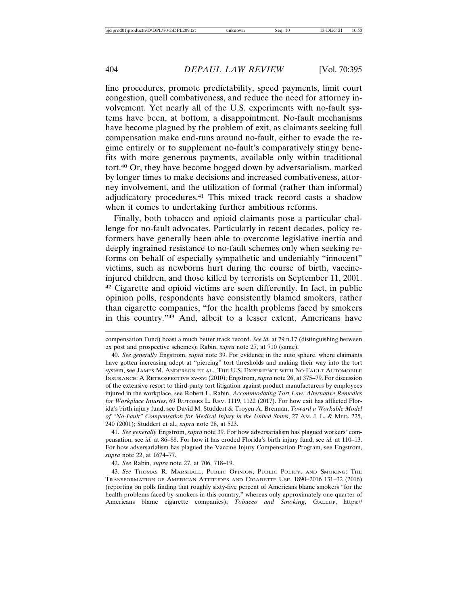line procedures, promote predictability, speed payments, limit court congestion, quell combativeness, and reduce the need for attorney involvement. Yet nearly all of the U.S. experiments with no-fault systems have been, at bottom, a disappointment. No-fault mechanisms have become plagued by the problem of exit, as claimants seeking full compensation make end-runs around no-fault, either to evade the regime entirely or to supplement no-fault's comparatively stingy benefits with more generous payments, available only within traditional tort.40 Or, they have become bogged down by adversarialism, marked by longer times to make decisions and increased combativeness, attorney involvement, and the utilization of formal (rather than informal) adjudicatory procedures.41 This mixed track record casts a shadow when it comes to undertaking further ambitious reforms.

Finally, both tobacco and opioid claimants pose a particular challenge for no-fault advocates. Particularly in recent decades, policy reformers have generally been able to overcome legislative inertia and deeply ingrained resistance to no-fault schemes only when seeking reforms on behalf of especially sympathetic and undeniably "innocent" victims, such as newborns hurt during the course of birth, vaccineinjured children, and those killed by terrorists on September 11, 2001. 42 Cigarette and opioid victims are seen differently. In fact, in public opinion polls, respondents have consistently blamed smokers, rather than cigarette companies, "for the health problems faced by smokers in this country."43 And, albeit to a lesser extent, Americans have

compensation Fund) boast a much better track record. *See id.* at 79 n.17 (distinguishing between ex post and prospective schemes); Rabin, *supra* note 27, at 710 (same).

<sup>40.</sup> *See generally* Engstrom, *supra* note 39. For evidence in the auto sphere, where claimants have gotten increasing adept at "piercing" tort thresholds and making their way into the tort system, see JAMES M. ANDERSON ET AL., THE U.S. EXPERIENCE WITH NO-FAULT AUTOMOBILE INSURANCE: A RETROSPECTIVE xv-xvi (2010); Engstrom, *supra* note 26, at 375–79. For discussion of the extensive resort to third-party tort litigation against product manufacturers by employees injured in the workplace, see Robert L. Rabin, *Accommodating Tort Law: Alternative Remedies for Workplace Injuries*, 69 RUTGERS L. REV. 1119, 1122 (2017). For how exit has afflicted Florida's birth injury fund, see David M. Studdert & Troyen A. Brennan, *Toward a Workable Model of "No-Fault" Compensation for Medical Injury in the United States*, 27 AM. J. L. & MED. 225, 240 (2001); Studdert et al., *supra* note 28, at 523.

<sup>41.</sup> *See generally* Engstrom, *supra* note 39. For how adversarialism has plagued workers' compensation, see *id.* at 86–88. For how it has eroded Florida's birth injury fund, see *id.* at 110–13. For how adversarialism has plagued the Vaccine Injury Compensation Program, see Engstrom, *supra* note 22, at 1674–77.

<sup>42.</sup> *See* Rabin, *supra* note 27, at 706, 718–19.

<sup>43.</sup> *See* THOMAS R. MARSHALL, PUBLIC OPINION, PUBLIC POLICY, AND SMOKING: THE TRANSFORMATION OF AMERICAN ATTITUDES AND CIGARETTE USE, 1890–2016 131–32 (2016) (reporting on polls finding that roughly sixty-five percent of Americans blame smokers "for the health problems faced by smokers in this country," whereas only approximately one-quarter of Americans blame cigarette companies); *Tobacco and Smoking*, GALLUP, https://